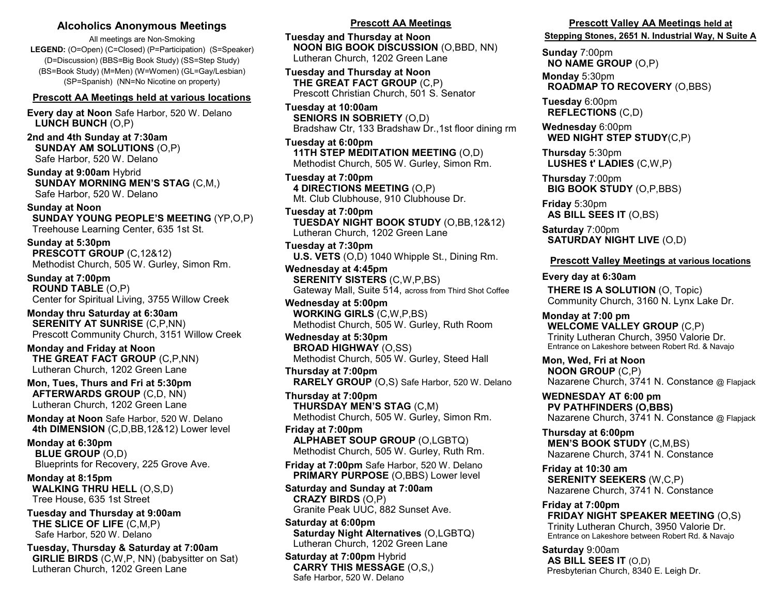#### **Alcoholics Anonymous Meetings**

All meetings are Non-Smoking **LEGEND:** (O=Open) (C=Closed) (P=Participation) (S=Speaker) (D=Discussion) (BBS=Big Book Study) (SS=Step Study) (BS=Book Study) (M=Men) (W=Women) (GL=Gay/Lesbian) (SP=Spanish) (NN=No Nicotine on property)

#### **Prescott AA Meetings held at various locations**

**Every day at Noon** Safe Harbor, 520 W. Delano  **LUNCH BUNCH** (O,P)

**2nd and 4th Sunday at 7:30am SUNDAY AM SOLUTIONS** (O,P) Safe Harbor, 520 W. Delano

**Sunday at 9:00am** Hybrid  **SUNDAY MORNING MEN'S STAG** (C,M,) Safe Harbor, 520 W. Delano

**Sunday at Noon SUNDAY YOUNG PEOPLE'S MEETING** (YP,O,P) Treehouse Learning Center, 635 1st St.

**Sunday at 5:30pm PRESCOTT GROUP** (C,12&12) Methodist Church, 505 W. Gurley, Simon Rm.

**Sunday at 7:00pm ROUND TABLE** (O,P) Center for Spiritual Living, 3755 Willow Creek

**Monday thru Saturday at 6:30am SERENITY AT SUNRISE** (C,P,NN) Prescott Community Church, 3151 Willow Creek

**Monday and Friday at Noon THE GREAT FACT GROUP** (C,P,NN) Lutheran Church, 1202 Green Lane

**Mon, Tues, Thurs and Fri at 5:30pm AFTERWARDS GROUP** (C,D, NN) Lutheran Church, 1202 Green Lane

**Monday at Noon** Safe Harbor, 520 W. Delano  **4th DIMENSION** (C,D,BB,12&12) Lower level

**Monday at 6:30pm BLUE GROUP** (O,D) Blueprints for Recovery, 225 Grove Ave.

**Monday at 8:15pm WALKING THRU HELL** (O,S,D) Tree House, 635 1st Street

**Tuesday and Thursday at 9:00am THE SLICE OF LIFE** (C,M,P) Safe Harbor, 520 W. Delano

**Tuesday, Thursday & Saturday at 7:00am GIRLIE BIRDS** (C,W,P, NN) (babysitter on Sat) Lutheran Church, 1202 Green Lane

#### **Prescott AA Meetings**

**Tuesday and Thursday at Noon NOON BIG BOOK DISCUSSION** (O,BBD, NN) Lutheran Church, 1202 Green Lane

**Tuesday and Thursday at Noon THE GREAT FACT GROUP** (C,P) Prescott Christian Church, 501 S. Senator

**Tuesday at 10:00am SENIORS IN SOBRIETY** (O,D) Bradshaw Ctr, 133 Bradshaw Dr.,1st floor dining rm

**Tuesday at 6:00pm 11TH STEP MEDITATION MEETING** (O,D) Methodist Church, 505 W. Gurley, Simon Rm.

**Tuesday at 7:00pm 4 DIRECTIONS MEETING** (O,P) Mt. Club Clubhouse, 910 Clubhouse Dr.

**Tuesday at 7:00pm TUESDAY NIGHT BOOK STUDY** (O,BB,12&12) Lutheran Church, 1202 Green Lane

**Tuesday at 7:30pm U.S. VETS** (O,D) 1040 Whipple St., Dining Rm.

**Wednesday at 4:45pm SERENITY SISTERS** (C,W,P,BS) Gateway Mall, Suite 514, across from Third Shot Coffee

**Wednesday at 5:00pm WORKING GIRLS** (C,W,P,BS) Methodist Church, 505 W. Gurley, Ruth Room

**Wednesday at 5:30pm BROAD HIGHWAY** (O,SS) Methodist Church, 505 W. Gurley, Steed Hall

**Thursday at 7:00pm RARELY GROUP** (O,S) Safe Harbor, 520 W. Delano

**Thursday at 7:00pm THURSDAY MEN'S STAG** (C,M) Methodist Church, 505 W. Gurley, Simon Rm.

**Friday at 7:00pm ALPHABET SOUP GROUP** (O,LGBTQ) Methodist Church, 505 W. Gurley, Ruth Rm.

**Friday at 7:00pm** Safe Harbor, 520 W. Delano  **PRIMARY PURPOSE** (O,BBS) Lower level

**Saturday and Sunday at 7:00am CRAZY BIRDS** (O,P) Granite Peak UUC, 882 Sunset Ave.

**Saturday at 6:00pm Saturday Night Alternatives** (O,LGBTQ) Lutheran Church, 1202 Green Lane

**Saturday at 7:00pm** Hybrid  **CARRY THIS MESSAGE** (O,S,) Safe Harbor, 520 W. Delano

#### **Prescott Valley AA Meetings held at**

**Stepping Stones, 2651 N. Industrial Way, N Suite A**

**Sunday** 7:00pm **NO NAME GROUP** (O,P)

**Monday** 5:30pm **ROADMAP TO RECOVERY** (O,BBS)

**Tuesday** 6:00pm  **REFLECTIONS** (C,D)

**Wednesday** 6:00pm **WED NIGHT STEP STUDY**(C,P)

**Thursday** 5:30pm  **LUSHES t' LADIES** (C,W,P)

**Thursday** 7:00pm **BIG BOOK STUDY** (O,P,BBS)

**Friday** 5:30pm **AS BILL SEES IT** (O,BS)

**Saturday** 7:00pm **SATURDAY NIGHT LIVE** (O,D)

#### **Prescott Valley Meetings at various locations**

**Every day at 6:30am THERE IS A SOLUTION** (O, Topic) Community Church, 3160 N. Lynx Lake Dr.

**Monday at 7:00 pm WELCOME VALLEY GROUP** (C,P) Trinity Lutheran Church, 3950 Valorie Dr. Entrance on Lakeshore between Robert Rd. & Navajo

**Mon, Wed, Fri at Noon NOON GROUP** (C,P) Nazarene Church, 3741 N. Constance @ Flapjack

**WEDNESDAY AT 6:00 pm PV PATHFINDERS (O,BBS)** Nazarene Church, 3741 N. Constance @ Flapjack

**Thursday at 6:00pm MEN'S BOOK STUDY** (C,M,BS) Nazarene Church, 3741 N. Constance

**Friday at 10:30 am SERENITY SEEKERS** (W,C,P) Nazarene Church, 3741 N. Constance

**Friday at 7:00pm FRIDAY NIGHT SPEAKER MEETING** (O,S) Trinity Lutheran Church, 3950 Valorie Dr. Entrance on Lakeshore between Robert Rd. & Navajo

**Saturday** 9:00am **AS BILL SEES IT** (O,D) Presbyterian Church, 8340 E. Leigh Dr.